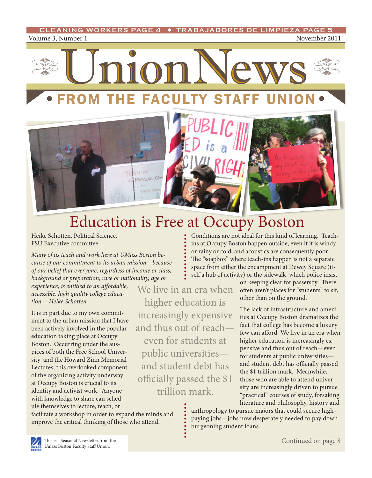<span id="page-0-0"></span>Volume 3, Number 1 November 2011 **CLEANING WORKERS PAGE 4 • TRABAJADORES DE LIMPIEZA PAGE 5** 





## Education is Free at Occupy Boston

We live in an era when

higher education is

increasingly expensive

and thus out of reach—

even for students at

public universities and student debt has

officially passed the \$1 trillion mark.

Heike Schotten, Political Science, FSU Executive committee

*Many of us teach and work here at UMass Boston because of our commitment to its urban mission—because of our belief that everyone, regardless of income or class, background or preparation, race or nationality, age or* 

*experience, is entitled to an affordable, accessible, high quality college education.—Heike Schotten* 

It is in part due to my own commitment to the urban mission that I have been actively involved in the popular education taking place at Occupy Boston. Occurring under the auspices of both the Free School University and the Howard Zinn Memorial Lectures, this overlooked component of the organizing activity underway at Occupy Boston is crucial to its identity and activist work. Anyone with knowledge to share can schedule themselves to lecture, teach, or

facilitate a workshop in order to expand the minds and improve the critical thinking of those who attend.

Conditions are not ideal for this kind of learning. Teachins at Occupy Boston happen outside, even if it is windy or rainy or cold, and acoustics are consequently poor. The "soapbox" where teach-ins happen is not a separate space from either the encampment at Dewey Square (itself a hub of activity) or the sidewalk, which police insist

on keeping clear for passersby. There often aren't places for "students" to sit, other than on the ground.

The lack of infrastructure and amenities at Occupy Boston dramatizes the fact that college has become a luxury few can afford. We live in an era when higher education is increasingly expensive and thus out of reach—even for students at public universities and student debt has officially passed the \$1 trillion mark. Meanwhile, those who are able to attend university are increasingly driven to pursue "practical" courses of study, forsaking literature and philosophy, history and

anthropology to pursue majors that could secure highpaying jobs—jobs now desperately needed to pay down burgeoning student loans.

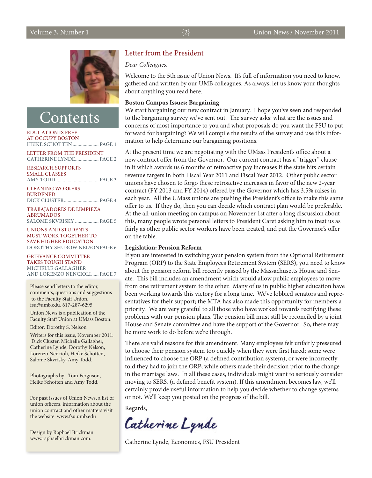#### *Dear Colleagues,*

Welcome to the 5th issue of Union News. It's full of information you need to know, gathered and written by our UMB colleagues. As always, let us know your thoughts about anything you read here.

#### **Boston Campus Issues: Bargaining**

We start bargaining our new contract in January. I hope you've seen and responded to the bargaining survey we've sent out. The survey asks: what are the issues and concerns of most importance to you and what proposals do you want the FSU to put forward for bargaining? We will compile the results of the survey and use this information to help determine our bargaining positions.

At the present time we are negotiating with the UMass President's office about a new contract offer from the Governor. Our current contract has a "trigger" clause in it which awards us 6 months of retroactive pay increases if the state hits certain revenue targets in both Fiscal Year 2011 and Fiscal Year 2012. Other public sector unions have chosen to forgo these retroactive increases in favor of the new 2-year contract (FY 2013 and FY 2014) offered by the Governor which has 3.5% raises in each year. All the UMass unions are pushing the President's office to make this same offer to us. If they do, then you can decide which contract plan would be preferable. At the all-union meeting on campus on November 1st after a long discussion about this, many people wrote personal letters to President Caret asking him to treat us as fairly as other public sector workers have been treated, and put the Governor's offer on the table.

#### **Legislation: Pension Reform**

If you are interested in switching your pension system from the Optional Retirement Program (ORP) to the State Employees Retirement System (SERS), you need to know about the pension reform bill recently passed by the Massachusetts House and Senate. This bill includes an amendment which would allow public employees to move from one retirement system to the other. Many of us in public higher education have been working towards this victory for a long time. We've lobbied senators and representatives for their support; the MTA has also made this opportunity for members a priority. We are very grateful to all those who have worked towards rectifying these problems with our pension plans. The pension bill must still be reconciled by a joint House and Senate committee and have the support of the Governor. So, there may be more work to do before we're through.

There are valid reasons for this amendment. Many employees felt unfairly pressured to choose their pension system too quickly when they were first hired; some were influenced to choose the ORP (a defined contribution system), or were incorrectly told they had to join the ORP; while others made their decision prior to the change in the marriage laws. In all these cases, individuals might want to seriously consider moving to SERS, (a defined benefit system). If this amendment becomes law, we'll certainly provide useful information to help you decide whether to change systems or not. We'll keep you posted on the progress of the bill.

Regards,

Catherine Lynde

Catherine Lynde, Economics, FSU President

Salome [Skvrisky](#page-4-0) ................... page 5 [Unions and students](#page-5-0)  [must work together to](#page-5-0) 

**Contents** 

HEIKE SCHOTTEN...................... PAGE 1 Letter from the President CATHERINE LYNDE................... PAGE 2

[Amy Todd...................................](#page-2-0) page 3

[Dick cluster............................](#page-3-0) page 4 [Trabajadores De Limpieza](#page-4-0) 

[Education is Free](#page-0-0) [at Occupy Boston](#page-0-0)

Research [Supports](#page-2-0)  Small [Classes](#page-2-0)

[Cleaning Workers](#page-3-0) 

**BURDENED** 

**ABRUMADOS** 

[save Higher education](#page-5-0)  [Dorothy Shubow](#page-5-0) Nelsonpage 6

[Grievance](#page-6-0) Committee [Takes Tough](#page-6-0) Stand Michelle [Gallagher](#page-6-0)  [and Lorenzo Nencioli......](#page-6-0) page 7

Please send letters to the editor, comments, questions and suggestions to the Faculty Staff Union. [fsu@umb.edu,](mailto:fsu%40umb.edu?subject=comments) 617-287-6295

Union News is a publication of the Faculty Staff Union at UMass Boston.

Editor: Dorothy S. Nelson

Writers for this issue, November 2011: Dick Cluster, Michelle Gallagher, Catherine Lynde, Dorothy Nelson, Lorenzo Nencioli, Heike Schotten, Salome Skvrisky, Amy Todd.

Photographs by: Tom Ferguson, Heike Schotten and Amy Todd.

For past issues of Union News, a list of union officers, information about the union contract and other matters visit the website: [www.fsu.umb.edu](http://www.fsu.umb.edu)

Design by Raphael Brickman [www.raphaelbrickman.com.](http://www.raphaelbrickman.com)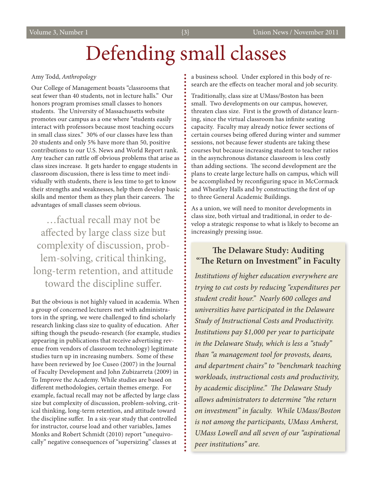## Defending small classes

#### <span id="page-2-0"></span>Amy Todd, *Anthropology*

Our College of Management boasts "classrooms that seat fewer than 40 students, not in lecture halls." Our honors program promises small classes to honors students. The University of Massachusetts website promotes our campus as a one where "students easily interact with professors because most teaching occurs in small class sizes." 30% of our classes have less than 20 students and only 5% have more than 50, positive contributions to our U.S. News and World Report rank. Any teacher can rattle off obvious problems that arise as class sizes increase. It gets harder to engage students in classroom discussion, there is less time to meet individually with students, there is less time to get to know their strengths and weaknesses, help them develop basic skills and mentor them as they plan their careers. The advantages of small classes seem obvious.

…factual recall may not be affected by large class size but complexity of discussion, problem-solving, critical thinking, long-term retention, and attitude toward the discipline suffer.

But the obvious is not highly valued in academia. When a group of concerned lecturers met with administrators in the spring, we were challenged to find scholarly research linking class size to quality of education. After sifting though the pseudo-research (for example, studies appearing in publications that receive advertising revenue from vendors of classroom technology) legitimate studies turn up in increasing numbers. Some of these have been reviewed by Joe Cuseo (2007) in the Journal of Faculty Development and John Zubizarreta (2009) in To Improve the Academy. While studies are based on different methodologies, certain themes emerge. For example, factual recall may not be affected by large class size but complexity of discussion, problem-solving, critical thinking, long-term retention, and attitude toward the discipline suffer. In a six-year study that controlled for instructor, course load and other variables, James Monks and Robert Schmidt (2010) report "unequivocally" negative consequences of "supersizing" classes at

a business school. Under explored in this body of research are the effects on teacher moral and job security.

Traditionally, class size at UMass/Boston has been small. Two developments on our campus, however, threaten class size. First is the growth of distance learning, since the virtual classroom has infinite seating capacity. Faculty may already notice fewer sections of certain courses being offered during winter and summer sessions, not because fewer students are taking these courses but because increasing student to teacher ratios in the asynchronous distance classroom is less costly than adding sections. The second development are the plans to create large lecture halls on campus, which will be accomplished by reconfiguring space in McCormack and Wheatley Halls and by constructing the first of up to three General Academic Buildings.

As a union, we will need to monitor developments in class size, both virtual and traditional, in order to develop a strategic response to what is likely to become an increasingly pressing issue.

### **The Delaware Study: Auditing "The Return on Investment" in Faculty**

*Institutions of higher education everywhere are trying to cut costs by reducing "expenditures per student credit hour." Nearly 600 colleges and universities have participated in the Delaware Study of Instructional Costs and Productivity. Institutions pay \$1,000 per year to participate in the Delaware Study, which is less a "study" than "a management tool for provosts, deans, and department chairs" to "benchmark teaching workloads, instructional costs and productivity, by academic discipline." The Delaware Study allows administrators to determine "the return on investment" in faculty. While UMass/Boston is not among the participants, UMass Amherst, UMass Lowell and all seven of our "aspirational peer institutions" are.*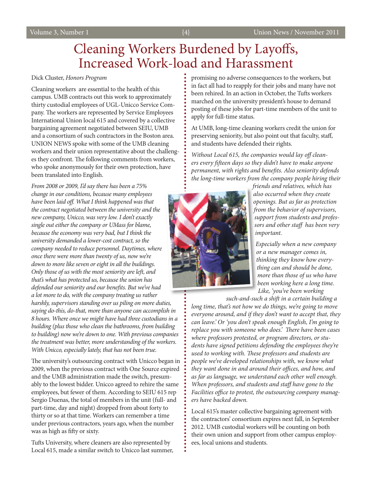### Cleaning Workers Burdened by Layoffs, Increased Work-load and Harassment

### <span id="page-3-0"></span>Dick Cluster, *Honors Program*

Cleaning workers are essential to the health of this campus. UMB contracts out this work to approximately thirty custodial employees of UGL-Unicco Service Company. The workers are represented by Service Employees International Union local 615 and covered by a collective bargaining agreement negotiated between SEIU, UMB and a consortium of such contractors in the Boston area. UNION NEWS spoke with some of the UMB cleaning workers and their union representative about the challenges they confront. The following comments from workers, who spoke anonymously for their own protection, have been translated into English.

*From 2008 or 2009, I'd say there has been a 75% change in our conditions, because many employees have been laid off. What I think happened was that the contract negotiated between the university and the new company, Unicco, was very low. I don't exactly single out either the company or UMass for blame, because the economy was very bad, but I think the university demanded a lower-cost contract, so the company needed to reduce personnel. Daytimes, where once there were more than twenty of us, now we're down to more like seven or eight in all the buildings. Only those of us with the most seniority are left, and that's what has protected us, because the union has defended our seniority and our benefits. But we've had a lot more to do, with the company treating us rather harshly, supervisors standing over us piling on more duties, saying do-this, do-that, more than anyone can accomplish in 8 hours. Where once we might have had three custodians in a building (plus those who clean the bathrooms, from building to building) now we're down to one. With previous companies the treatment was better, more understanding of the workers. With Unicco, especially lately, that has not been true.*

The university's outsourcing contract with Unicco began in 2009, when the previous contract with One Source expired and the UMB administration made the switch, presumably to the lowest bidder. Unicco agreed to rehire the same employees, but fewer of them. According to SEIU 615 rep Sergio Duenas, the total of members in the unit (full- and part-time, day and night) dropped from about forty to thirty or so at that time. Workers can remember a time under previous contractors, years ago, when the number was as high as fifty or sixty.

Tufts University, where cleaners are also represented by Local 615, made a similar switch to Unicco last summer, promising no adverse consequences to the workers, but in fact all had to reapply for their jobs and many have not been rehired. In an action in October, the Tufts workers marched on the university president's house to demand posting of these jobs for part-time members of the unit to apply for full-time status.

At UMB, long-time cleaning workers credit the union for preserving seniority, but also point out that faculty, staff, and students have defended their rights.

*Without Local 615, the companies would lay off cleaners every fifteen days so they didn't have to make anyone permanent, with rights and benefits. Also seniority defends the long-time workers from the company people hiring their* 



*friends and relatives, which has also occurred when they create openings. But as far as protection from the behavior of supervisors, support from students and professors and other staff has been very important.* 

*Especially when a new company or a new manager comes in, thinking they know how everything can and should be done, more than those of us who have been working here a long time. Like, 'you've been working* 

*such-and-such a shift in a certain building a long time, that's not how we do things, we're going to move* 

*everyone around, and if they don't want to accept that, they can leave.' Or 'you don't speak enough English, I'm going to replace you with someone who does.' There have been cases where professors protested, or program directors, or students have signed petitions defending the employees they're used to working with. These professors and students are people we've developed relationships with, we know what they want done in and around their offices, and how, and as far as language, we understand each other well enough. When professors, and students and staff have gone to the Facilities office to protest, the outsourcing company managers have backed down.*

Local 615's master collective bargaining agreement with the contractors' consortium expires next fall, in September 2012. UMB custodial workers will be counting on both their own union and support from other campus employees, local unions and students.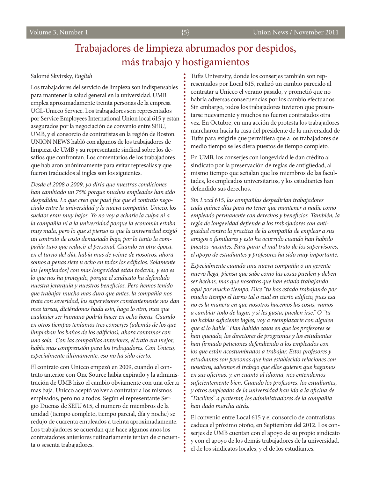### Trabajadores de limpieza abrumados por despidos, más trabajo y hostigamientos

#### <span id="page-4-0"></span>Salomé Skvirsky, *English*

Los trabajadores del servicio de limpieza son indispensables para mantener la salud general en la universidad. UMB emplea aproximadamente treinta personas de la empresa UGL-Unicco Service. Los trabajadores son representados por Service Employees International Union local 615 y están asegurados por la negociación de convenio entre SEIU, UMB, y el consorcio de contratistas en la región de Boston. UNION NEWS habló con algunos de los trabajadores de limpieza de UMB y su representante sindical sobre los desafíos que confrontan. Los comentarios de los trabajadores que hablaron anónimamente para evitar represalias y que fueron traducidos al ingles son los siguientes.

*Desde el 2008 o 2009, yo diría que nuestras condiciones han cambiado un 75% porque muchos empleados han sido despedidos. Lo que creo que pasó fue que el contrato negociado entre la universidad y la nueva compañía, Unicco, los sueldos eran muy bajos. Yo no voy a echarle la culpa ni a la compañía ni a la universidad porque la economía estaba muy mala, pero lo que si pienso es que la universidad exigió un contrato de costo demasiado bajo, por lo tanto la compañía tuvo que reducir el personal. Cuando en otra época, en el turno del día, había mas de veinte de nosotros, ahora somos a penas siete u ocho en todos los edificios. Solamente los [empleados] con mas longevidad están todavía, y eso es lo que nos ha protegido, porque el sindicato ha defendido nuestra jerarquía y nuestros beneficios. Pero hemos tenido que trabajar mucho mas duro que antes, la compañía nos trata con severidad, los supervisores constantemente nos dan mas tareas, diciéndonos hada esto, haga lo otro, mas que cualquier ser humano podría hacer en ocho horas. Cuando en otros tiempos teníamos tres conserjes (además de los que limpiaban los baños de los edificios), ahora contamos con uno solo. Con las compañías anteriores, el trato era mejor, había mas comprensión para los trabajadores. Con Unicco, especialmente últimamente, eso no ha sido cierto.*

El contrato con Unicco empezó en 2009, cuando el contrato anterior con One Source habia expirado y la administración de UMB hizo el cambio obviamente con una oferta mas baja. Unicco aceptó volver a contratar a los mismos empleados, pero no a todos. Según el representante Sergio Duenas de SEIU 615, el numero de miembros de la unidad (tiempo completo, tiempo parcial, día y noche) se redujo de cuarenta empleados a treinta aproximadamente. Los trabajadores se acuerdan que hace algunos anos los contratadotes anteriores rutinariamente tenían de cincuenta o sesenta trabajadores.

Tufts University, donde los conserjes también son representados por Local 615, realizó un cambio parecido al contratar a Unicco el verano pasado, y prometió que no habría adversas consecuencias por los cambio efectuados. Sin embargo, todos los trabajadores tuvieron que presentarse nuevamente y muchos no fueron contratados otra vez. En Octubre, en una acción de protesta los trabajadores marcharon hacia la casa del presidente de la universidad de Tufts para exigirle que permitiera que a los trabajadores de medio tiempo se les diera puestos de tiempo completo.

En UMB, los conserjes con longevidad le dan crédito al sindicato por la preservación de reglas de antigüedad, al mismo tiempo que señalan que los miembros de las facultades, los empleados universitarios, y los estudiantes han defendido sus derechos.

*Sin Local 615, las compañías despedirían trabajadores cada quince días para no tener que mantener a nadie como empleado permanente con derechos y beneficios. También, la regla de longevidad defiende a los trabajadores con antiguëdad contra la practica de la compañía de emplear a sus amigos o familiares y esto ha ocurrido cuando han habido puestos vacantes. Para parar el mal trato de los supervisores, el apoyo de estudiantes y profesores ha sido muy importante.*

*Especialmente cuando una nueva compañía o un gerente nuevo llega, piensa que sabe como las cosas pueden y deben ser hechas, mas que nosotros que han estado trabajando aquí por mucho tiempo. Dice "tu has estado trabajando por mucho tiempo el turno tal o cual en cierto edificio, pues esa no es la manera en que nosotros hacemos las cosas, vamos a cambiar todo de lugar, y si les gusta, pueden irse." O "tu no hablas suficiente ingles, voy a reemplazarte con alguien que si lo hable." Han habido casos en que los profesores se han quejado, los directores de programas y los estudiantes han firmado peticiones defendiendo a los empleados con los que están acostumbrados a trabajar. Estos profesores y estudiantes son personas que han establecido relaciones con nosotros, sabemos el trabajo que ellos quieren que hagamos en sus oficinas, y, en cuanto al idioma, nos entendemos suficientemente bien. Cuando los profesores, los estudiantes, y otros empleados de la universidad han ido a la oficina de "Facilites" a protestar, los administradores de la compañía han dado marcha atrás.*

El convenio entre Local 615 y el consorcio de contratistas caduca el próximo otoño, en Septiembre del 2012. Los conserjes de UMB cuentan con el apoyo de su propio sindicato y con el apoyo de los demás trabajadores de la universidad, el de los sindicatos locales, y el de los estudiantes.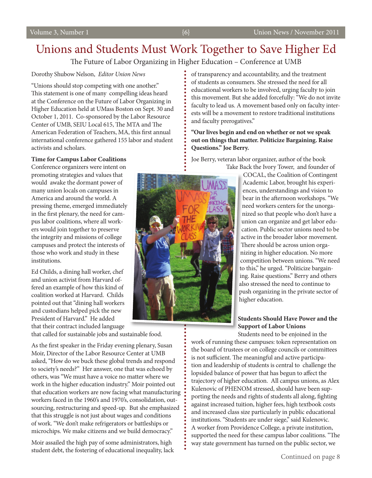### <span id="page-5-0"></span>Unions and Students Must Work Together to Save Higher Ed

The Future of Labor Organizing in Higher Education – Conference at UMB

### Dorothy Shubow Nelson, *Editor Union News*

"Unions should stop competing with one another." This statement is one of many compelling ideas heard at the Conference on the Future of Labor Organizing in Higher Education held at UMass Boston on Sept. 30 and October 1, 2011. Co-sponsored by the Labor Resource Center of UMB, SEIU Local 615, The MTA and The American Federation of Teachers, MA, this first annual international conference gathered 155 labor and student activists and scholars.

### **Time for Campus Labor Coalitions**

Conference organizers were intent on promoting strategies and values that would awake the dormant power of many union locals on campuses in America and around the world. A pressing theme, emerged immediately in the first plenary, the need for campus labor coalitions, where all workers would join together to preserve the integrity and missions of college campuses and protect the interests of those who work and study in these institutions.

Ed Childs, a dining hall worker, chef and union activist from Harvard offered an example of how this kind of coalition worked at Harvard. Childs pointed out that "dining hall workers and custodians helped pick the new President of Harvard." He added that their contract included language

that called for sustainable jobs and sustainable food.

As the first speaker in the Friday evening plenary, Susan Moir, Director of the Labor Resource Center at UMB asked, "How do we buck these global trends and respond to society's needs?" Her answer, one that was echoed by others, was "We must have a voice no matter where we work in the higher education industry." Moir pointed out that education workers are now facing what manufacturing workers faced in the 1960's and 1970's, consolidation, outsourcing, restructuring and speed-up. But she emphasized that this struggle is not just about wages and conditions of work. "We don't make refrigerators or battleships or microchips. We make citizens and we build democracy."

Moir assailed the high pay of some administrators, high student debt, the fostering of educational inequality, lack of transparency and accountability, and the treatment of students as consumers. She stressed the need for all educational workers to be involved, urging faculty to join this movement. But she added forcefully: "We do not invite faculty to lead us. A movement based only on faculty interests will be a movement to restore traditional institutions and faculty prerogatives."

### **"Our lives begin and end on whether or not we speak out on things that matter. Politicize Bargaining. Raise Questions." Joe Berry.**

Joe Berry, veteran labor organizer, author of the book Take Back the Ivory Tower, and founder of



### higher education. **Students Should Have Power and the**

### **Support of Labor Unions**

Students need to be enjoined in the work of running these campuses: token representation on the board of trustees or on college councils or committees is not sufficient. The meaningful and active participation and leadership of students is central to challenge the lopsided balance of power that has begun to affect the trajectory of higher education. All campus unions, as Alex Kulenovic of PHENOM stressed, should have been supporting the needs and rights of students all along, fighting against increased tuition, higher fees, high textbook costs and increased class size particularly in public educational institutions. "Students are under siege," said Kulenovic. A worker from Providence College, a private institution, supported the need for these campus labor coalitions. "The way state government has turned on the public sector, we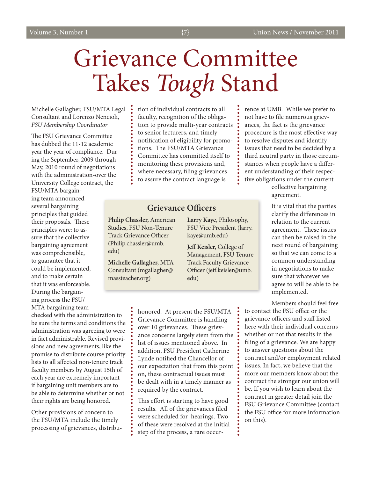# <span id="page-6-0"></span>Grievance Committee Takes *Tough* Stand

Michelle Gallagher, FSU/MTA Legal Consultant and Lorenzo Nencioli, *FSU Membership Coordinator* 

The FSU Grievance Committee has dubbed the 11-12 academic year the year of compliance. During the September, 2009 through May, 2010 round of negotiations with the administration-over the University College contract, the

FSU/MTA bargaining team announced several bargaining principles that guided their proposals. These principles were: to assure that the collective bargaining agreement was comprehensible, to guarantee that it could be implemented, and to make certain that it was enforceable. During the bargaining process the FSU/ MTA bargaining team

checked with the administration to be sure the terms and conditions the administration was agreeing to were in fact administrable. Revised provisions and new agreements, like the promise to distribute course priority lists to all affected non-tenure track faculty members by August 15th of each year are extremely important if bargaining unit members are to be able to determine whether or not their rights are being honored.

Other provisions of concern to the FSU/MTA include the timely processing of grievances, distribution of individual contracts to all faculty, recognition of the obligation to provide multi-year contracts to senior lecturers, and timely notification of eligibility for promotions. The FSU/MTA Grievance Committee has committed itself to monitoring these provisions and, where necessary, filing grievances to assure the contract language is

### **Grievance Officers**

**Philip Chassler,** American Studies, FSU Non-Tenure Track Grievance Officer (Philip.chassler@umb. edu)

÷

**Michelle Gallagher,** MTA Consultant (mgallagher@ massteacher.org)

**Larry Kaye,** Philosophy, FSU Vice President (larry. kaye@umb.edu)

**Jeff Keisler,** College of Management, FSU Tenure Track Faculty Grievance Officer (jeff.keisler@umb. edu)

honored. At present the FSU/MTA Grievance Committee is handling over 10 grievances. These grievance concerns largely stem from the list of issues mentioned above. In addition, FSU President Catherine Lynde notified the Chancellor of our expectation that from this point on, these contractual issues must be dealt with in a timely manner as required by the contract.

This effort is starting to have good results. All of the grievances filed were scheduled for hearings. Two of these were resolved at the initial step of the process, a rare occurrence at UMB. While we prefer to not have to file numerous grievances, the fact is the grievance procedure is the most effective way to resolve disputes and identify issues that need to be decided by a third neutral party in those circumstances when people have a different understanding of their respective obligations under the current

collective bargaining agreement.

It is vital that the parties clarify the differences in relation to the current agreement. These issues can then be raised in the next round of bargaining so that we can come to a common understanding in negotiations to make sure that whatever we agree to will be able to be implemented.

Members should feel free

to contact the FSU office or the grievance officers and staff listed here with their individual concerns whether or not that results in the filing of a grievance. We are happy to answer questions about the contract and/or employment related issues. In fact, we believe that the more our members know about the contract the stronger our union will be. If you wish to learn about the contract in greater detail join the FSU Grievance Committee (contact the FSU office for more information on this).